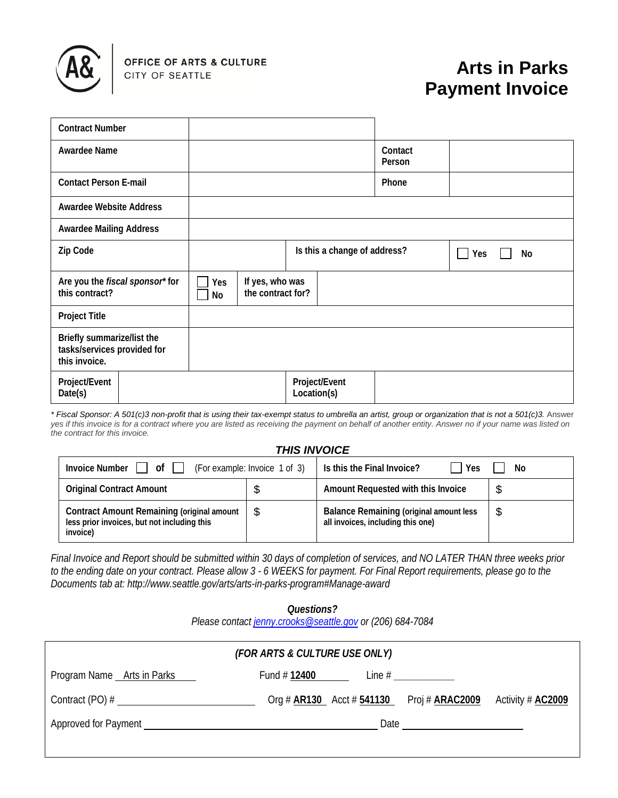

# **Arts in Parks Payment Invoice**

| <b>Contract Number</b>                                                     |  |                                                   |  |  |                   |    |  |  |
|----------------------------------------------------------------------------|--|---------------------------------------------------|--|--|-------------------|----|--|--|
| Awardee Name                                                               |  |                                                   |  |  | Contact<br>Person |    |  |  |
| <b>Contact Person E-mail</b>                                               |  |                                                   |  |  | Phone             |    |  |  |
| <b>Awardee Website Address</b>                                             |  |                                                   |  |  |                   |    |  |  |
| <b>Awardee Mailing Address</b>                                             |  |                                                   |  |  |                   |    |  |  |
| Zip Code                                                                   |  | Is this a change of address?                      |  |  | Yes               | No |  |  |
| Are you the fiscal sponsor* for<br>this contract?                          |  | If yes, who was<br>Yes<br>the contract for?<br>No |  |  |                   |    |  |  |
| <b>Project Title</b>                                                       |  |                                                   |  |  |                   |    |  |  |
| Briefly summarize/list the<br>tasks/services provided for<br>this invoice. |  |                                                   |  |  |                   |    |  |  |
| Project/Event<br>Date(s)                                                   |  | Project/Event<br>Location(s)                      |  |  |                   |    |  |  |

*\* Fiscal Sponsor: A 501(c)3 non-profit that is using their tax-exempt status to umbrella an artist, group or organization that is not a 501(c)3.* Answer *yes if this invoice is for a contract where you are listed as receiving the payment on behalf of another entity. Answer no if your name was listed on the contract for this invoice.*

#### *THIS INVOICE*

| Invoice Number     of                                                                                        | (For example: Invoice 1 of 3) | Is this the Final Invoice?<br>Yes                                                   | No |
|--------------------------------------------------------------------------------------------------------------|-------------------------------|-------------------------------------------------------------------------------------|----|
| <b>Original Contract Amount</b>                                                                              | Ф                             | Amount Requested with this Invoice                                                  |    |
| <b>Contract Amount Remaining (original amount</b><br>less prior invoices, but not including this<br>invoice) | \$.                           | <b>Balance Remaining (original amount less</b><br>all invoices, including this one) | \$ |

*Final Invoice and Report should be submitted within 30 days of completion of services, and NO LATER THAN three weeks prior to the ending date on your contract. Please allow 3 - 6 WEEKS for payment. For Final Report requirements, please go to the Documents tab at: http://www.seattle.gov/arts/arts-in-parks-program#Manage-award*

> *Questions? Please contact [jenny.crooks@seattle.gov](mailto:jenny.crooks@seattle.gov) or (206) 684-7084*

| (FOR ARTS & CULTURE USE ONLY)                                                                                                                                                                                                  |                                                                                                                                                                                                                                |                               |                            |                          |  |  |  |
|--------------------------------------------------------------------------------------------------------------------------------------------------------------------------------------------------------------------------------|--------------------------------------------------------------------------------------------------------------------------------------------------------------------------------------------------------------------------------|-------------------------------|----------------------------|--------------------------|--|--|--|
| Program Name Arts in Parks                                                                                                                                                                                                     | Fund # 12400                                                                                                                                                                                                                   |                               | Line # _____________       |                          |  |  |  |
| Contract $(PO)$ #                                                                                                                                                                                                              |                                                                                                                                                                                                                                | Org # $AR130$ Acct # $541130$ | Proj # <del>ARAC2009</del> | Activity # <b>AC2009</b> |  |  |  |
| Approved for Payment Learning and the contract of the contract of the contract of the contract of the contract of the contract of the contract of the contract of the contract of the contract of the contract of the contract | Date and the contract of the contract of the contract of the contract of the contract of the contract of the contract of the contract of the contract of the contract of the contract of the contract of the contract of the c |                               |                            |                          |  |  |  |
|                                                                                                                                                                                                                                |                                                                                                                                                                                                                                |                               |                            |                          |  |  |  |